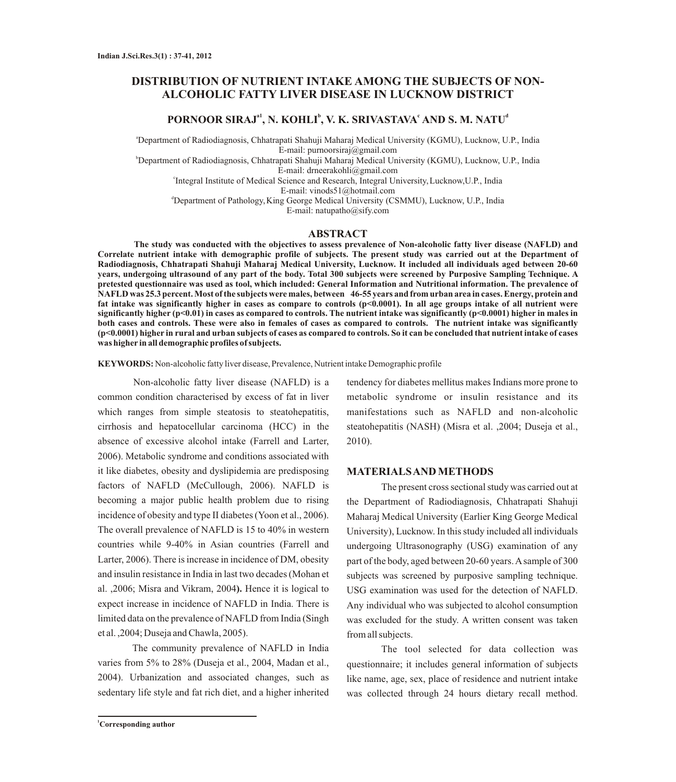## **DISTRIBUTION OF NUTRIENT INTAKE AMONG THE SUBJECTS OF NON-ALCOHOLIC FATTY LIVER DISEASE IN LUCKNOW DISTRICT**

### **a1 b c d PORNOOR SIRAJ , N. KOHLI , V. K. SRIVASTAVA AND S. M. NATU**

<sup>a</sup>Department of Radiodiagnosis, Chhatrapati Shahuji Maharaj Medical University (KGMU), Lucknow, U.P., India E-mail: purnoorsiraj@gmail.com

<sup>b</sup>Department of Radiodiagnosis, Chhatrapati Shahuji Maharaj Medical University (KGMU), Lucknow, U.P., India E-mail: drneerakohli@gmail.com

c Integral Institute of Medical Science and Research, Integral University,Lucknow,U.P., India

E-mail: vinods51@hotmail.com

<sup>d</sup>Department of Pathology, King George Medical University (CSMMU), Lucknow, U.P., India E-mail: natupatho@sify.com

#### **ABSTRACT**

**The study was conducted with the objectives to assess prevalence of Non-alcoholic fatty liver disease (NAFLD) and Correlate nutrient intake with demographic profile of subjects. The present study was carried out at the Department of Radiodiagnosis, Chhatrapati Shahuji Maharaj Medical University, Lucknow. It included all individuals aged between 20-60 years, undergoing ultrasound of any part of the body. Total 300 subjects were screened by Purposive Sampling Technique. A pretested questionnaire was used as tool, which included: General Information and Nutritional information. The prevalence of NAFLD was 25.3 percent. Most of the subjects were males, between 46-55 years and from urban area in cases. Energy, protein and fat intake was significantly higher in cases as compare to controls (p<0.0001). In all age groups intake of all nutrient were significantly higher (p<0.01) in cases as compared to controls. The nutrient intake was significantly (p<0.0001) higher in males in both cases and controls. These were also in females of cases as compared to controls. The nutrient intake was significantly (p<0.0001) higher in rural and urban subjects of cases as compared to controls. So it can be concluded that nutrient intake of cases was higher in all demographic profiles of subjects.**

**KEYWORDS:** Non-alcoholic fatty liver disease, Prevalence, Nutrient intake Demographic profile

Non-alcoholic fatty liver disease (NAFLD) is a common condition characterised by excess of fat in liver which ranges from simple steatosis to steatohepatitis, cirrhosis and hepatocellular carcinoma (HCC) in the absence of excessive alcohol intake (Farrell and Larter, 2006). Metabolic syndrome and conditions associated with it like diabetes, obesity and dyslipidemia are predisposing factors of NAFLD (McCullough, 2006). NAFLD is becoming a major public health problem due to rising incidence of obesity and type II diabetes (Yoon et al., 2006). The overall prevalence of NAFLD is 15 to 40% in western countries while 9-40% in Asian countries (Farrell and Larter, 2006). There is increase in incidence of DM, obesity and insulin resistance in India in last two decades (Mohan et al. ,2006; Misra and Vikram, 2004**).** Hence it is logical to expect increase in incidence of NAFLD in India. There is limited data on the prevalence of NAFLD from India (Singh et al. ,2004; Duseja and Chawla, 2005).

The community prevalence of NAFLD in India varies from 5% to 28% (Duseja et al., 2004, Madan et al., 2004). Urbanization and associated changes, such as sedentary life style and fat rich diet, and a higher inherited

tendency for diabetes mellitus makes Indians more prone to metabolic syndrome or insulin resistance and its manifestations such as NAFLD and non-alcoholic steatohepatitis (NASH) (Misra et al. ,2004; Duseja et al., 2010).

#### **MATERIALS AND METHODS**

The present cross sectional study was carried out at the Department of Radiodiagnosis, Chhatrapati Shahuji Maharaj Medical University (Earlier King George Medical University), Lucknow. In this study included all individuals undergoing Ultrasonography (USG) examination of any part of the body, aged between 20-60 years. Asample of 300 subjects was screened by purposive sampling technique. USG examination was used for the detection of NAFLD. Any individual who was subjected to alcohol consumption was excluded for the study. A written consent was taken from all subjects.

The tool selected for data collection was questionnaire; it includes general information of subjects like name, age, sex, place of residence and nutrient intake was collected through 24 hours dietary recall method.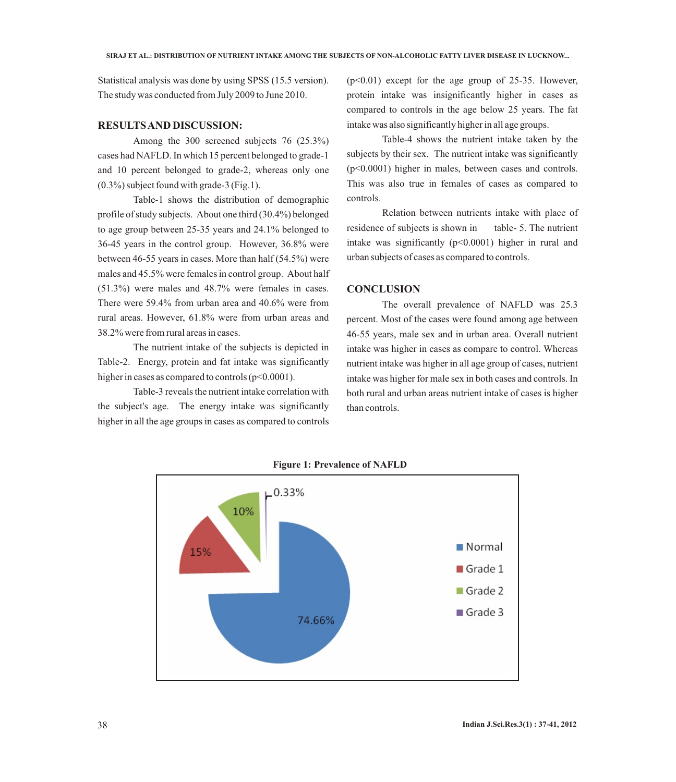Statistical analysis was done by using SPSS (15.5 version). The study was conducted from July 2009 to June 2010.

#### **RESULTS AND DISCUSSION:**

Among the 300 screened subjects 76 (25.3%) cases had NAFLD. In which 15 percent belonged to grade-1 and 10 percent belonged to grade-2, whereas only one (0.3%) subject found with grade-3 (Fig.1).

Table-1 shows the distribution of demographic profile of study subjects. About one third (30.4%) belonged to age group between 25-35 years and 24.1% belonged to 36-45 years in the control group. However, 36.8% were between 46-55 years in cases. More than half (54.5%) were males and 45.5% were females in control group. About half (51.3%) were males and 48.7% were females in cases. There were 59.4% from urban area and 40.6% were from rural areas. However, 61.8% were from urban areas and 38.2% were from rural areas in cases.

The nutrient intake of the subjects is depicted in Table-2. Energy, protein and fat intake was significantly higher in cases as compared to controls  $(p<0.0001)$ .

Table-3 reveals the nutrient intake correlation with the subject's age. The energy intake was significantly higher in all the age groups in cases as compared to controls

 $(p<0.01)$  except for the age group of 25-35. However, protein intake was insignificantly higher in cases as compared to controls in the age below 25 years. The fat intake was also significantly higher in all age groups.

Table-4 shows the nutrient intake taken by the subjects by their sex. The nutrient intake was significantly (p<0.0001) higher in males, between cases and controls. This was also true in females of cases as compared to controls.

Relation between nutrients intake with place of residence of subjects is shown in table- 5. The nutrient intake was significantly  $(p<0.0001)$  higher in rural and urban subjects of cases as compared to controls.

#### **CONCLUSION**

The overall prevalence of NAFLD was 25.3 percent. Most of the cases were found among age between 46-55 years, male sex and in urban area. Overall nutrient intake was higher in cases as compare to control. Whereas nutrient intake was higher in all age group of cases, nutrient intake was higher for male sex in both cases and controls. In both rural and urban areas nutrient intake of cases is higher than controls.



**Figure 1: Prevalence of NAFLD**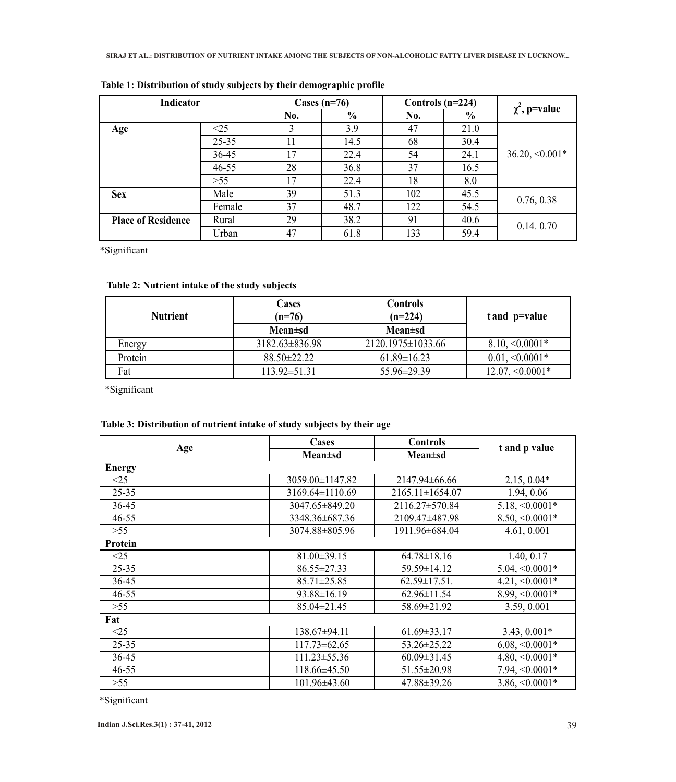| Indicator                 |           | Cases $(n=76)$ |               | Controls $(n=224)$ |      | $\chi^2$ , p=value  |  |
|---------------------------|-----------|----------------|---------------|--------------------|------|---------------------|--|
|                           |           | No.            | $\frac{6}{6}$ | No.                | $\%$ |                     |  |
| Age                       | <25       | 3              | 3.9           | 47                 | 21.0 |                     |  |
|                           | $25 - 35$ | 11             | 14.5          | 68                 | 30.4 |                     |  |
|                           | $36 - 45$ | 17             | 22.4          | 54                 | 24.1 | $36.20, \le 0.001*$ |  |
|                           | $46 - 55$ | 28             | 36.8          | 37                 | 16.5 |                     |  |
|                           | >55       | 17             | 22.4          | 18                 | 8.0  |                     |  |
| <b>Sex</b>                | Male      | 39             | 51.3          | 102                | 45.5 | 0.76, 0.38          |  |
|                           | Female    | 37             | 48.7          | 122                | 54.5 |                     |  |
| <b>Place of Residence</b> | Rural     | 29             | 38.2          | 91                 | 40.6 | 0.14.0.70           |  |
|                           | Urban     | 47             | 61.8          | 133                | 59.4 |                     |  |

| Table 1: Distribution of study subjects by their demographic profile |  |  |  |  |  |
|----------------------------------------------------------------------|--|--|--|--|--|
|----------------------------------------------------------------------|--|--|--|--|--|

\*Significant

## **Table 2: Nutrient intake of the study subjects**

| <b>Nutrient</b> | Cases<br>$(n=76)$ | <b>Controls</b><br>$(n=224)$ | t and p=value        |  |
|-----------------|-------------------|------------------------------|----------------------|--|
|                 | Mean±sd           | Mean±sd                      |                      |  |
| Energy          | 3182.63±836.98    | 2120.1975 ± 1033.66          | $8.10, \le 0.0001*$  |  |
| Protein         | $88.50 \pm 22.22$ | $61.89 \pm 16.23$            | $0.01, \le 0.0001*$  |  |
| Fat             | 113.92±51.31      | 55.96±29.39                  | $12.07, \le 0.0001*$ |  |

\*Significant

# **Table 3: Distribution of nutrient intake of study subjects by their age**

|               | Cases              | <b>Controls</b>     | t and p value        |  |
|---------------|--------------------|---------------------|----------------------|--|
| Age           | <b>Mean</b> ±sd    | $Mean \pm sd$       |                      |  |
| <b>Energy</b> |                    |                     |                      |  |
| $\leq$ 25     | 3059.00±1147.82    | 2147.94±66.66       | $2.15, 0.04*$        |  |
| 25-35         | 3169.64±1110.69    | $2165.11\pm1654.07$ | 1.94, 0.06           |  |
| 36-45         | 3047.65±849.20     | 2116.27±570.84      | $5.18, \le 0.0001*$  |  |
| $46 - 55$     | 3348.36±687.36     | 2109.47±487.98      | $8.50, \le 0.0001*$  |  |
| $>55$         | 3074.88±805.96     | 1911.96±684.04      | 4.61, 0.001          |  |
| Protein       |                    |                     |                      |  |
| <25           | $81.00 \pm 39.15$  | $64.78 \pm 18.16$   | 1.40, 0.17           |  |
| 25-35         | $86.55 \pm 27.33$  | 59.59±14.12         | $5.04, \le 0.0001*$  |  |
| 36-45         | 85.71±25.85        | $62.59 \pm 17.51$ . | $4.21, \leq 0.0001*$ |  |
| $46 - 55$     | $93.88 \pm 16.19$  | $62.96 \pm 11.54$   | $8.99, \le 0.0001*$  |  |
| $>55$         | 85.04±21.45        | 58.69±21.92         | 3.59, 0.001          |  |
| Fat           |                    |                     |                      |  |
| <25           | 138.67±94.11       | $61.69 \pm 33.17$   | $3.43, 0.001*$       |  |
| 25-35         | $117.73 \pm 62.65$ | 53.26±25.22         | $6.08, \le 0.0001*$  |  |
| 36-45         | $111.23 \pm 55.36$ | $60.09 \pm 31.45$   | $4.80, \le 0.0001*$  |  |
| $46 - 55$     | 118.66±45.50       | 51.55±20.98         | $7.94, \leq 0.0001*$ |  |
| $>55$         | 101.96±43.60       | 47.88±39.26         | $3.86, \le 0.0001*$  |  |

\*Significant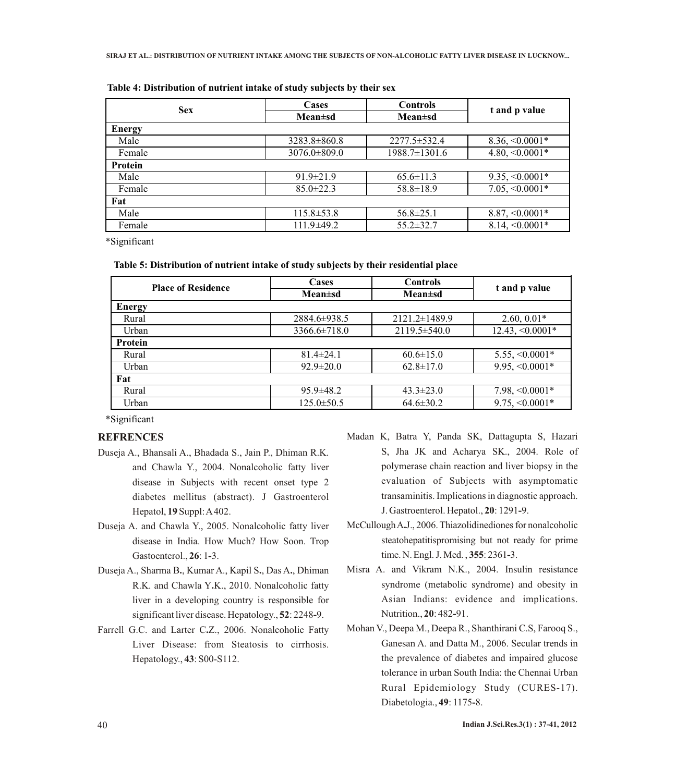| <b>Sex</b>     | Cases              | <b>Controls</b>    | t and p value        |  |
|----------------|--------------------|--------------------|----------------------|--|
|                | $Mean \pm sd$      | $Mean \pm sd$      |                      |  |
| <b>Energy</b>  |                    |                    |                      |  |
| Male           | $3283.8 \pm 860.8$ | $2277.5 \pm 532.4$ | $8.36, \le 0.0001*$  |  |
| Female         | $3076.0 \pm 809.0$ | 1988.7±1301.6      | $4.80, \le 0.0001*$  |  |
| <b>Protein</b> |                    |                    |                      |  |
| Male           | $91.9 \pm 21.9$    | $65.6 \pm 11.3$    | $9.35, \le 0.0001*$  |  |
| Female         | $85.0 \pm 22.3$    | $58.8 \pm 18.9$    | $7.05, \le 0.0001*$  |  |
| Fat            |                    |                    |                      |  |
| Male           | $115.8 \pm 53.8$   | $56.8 \pm 25.1$    | $8.87, \le 0.0001*$  |  |
| Female         | $111.9\pm 49.2$    | $55.2 \pm 32.7$    | $8.14, \leq 0.0001*$ |  |

\*Significant

| Table 5: Distribution of nutrient intake of study subjects by their residential place |  |  |  |  |
|---------------------------------------------------------------------------------------|--|--|--|--|
|                                                                                       |  |  |  |  |

| <b>Place of Residence</b> | Cases            | <b>Controls</b>    | t and p value        |  |
|---------------------------|------------------|--------------------|----------------------|--|
|                           | $Mean \pm sd$    | $Mean \pm sd$      |                      |  |
| <b>Energy</b>             |                  |                    |                      |  |
| Rural                     | 2884.6±938.5     | 2121.2±1489.9      | $2.60, 0.01*$        |  |
| Urban                     | $3366.6\pm718.0$ | $2119.5 \pm 540.0$ | $12.43, \le 0.0001*$ |  |
| <b>Protein</b>            |                  |                    |                      |  |
| Rural                     | $81.4 \pm 24.1$  | $60.6 \pm 15.0$    | $5.55, \le 0.0001*$  |  |
| Urban                     | $92.9 \pm 20.0$  | $62.8 \pm 17.0$    | $9.95, \le 0.0001*$  |  |
| Fat                       |                  |                    |                      |  |
| Rural                     | $95.9 \pm 48.2$  | $43.3 \pm 23.0$    | $7.98, <0.0001*$     |  |
| Urban                     | $125.0 \pm 50.5$ | $64.6 \pm 30.2$    | $9.75, \le 0.0001*$  |  |

\*Significant

### **REFRENCES**

- Duseja A., Bhansali A., Bhadada S., Jain P., Dhiman R.K. and Chawla Y., 2004. Nonalcoholic fatty liver disease in Subjects with recent onset type 2 diabetes mellitus (abstract). J Gastroenterol Hepatol, **19**Suppl: A402.
- Duseja A. and Chawla Y., 2005. Nonalcoholic fatty liver disease in India. How Much? How Soon. Trop Gastoenterol., **26**: 1**-**3.
- Duseja A., Sharma B**.**, Kumar A., Kapil S**.**, Das A**.**, Dhiman R.K. and Chawla Y**.**K., 2010. Nonalcoholic fatty liver in a developing country is responsible for significant liver disease. Hepatology., **52**: 2248**-**9.
- Farrell G.C. and Larter C**.**Z., 2006. Nonalcoholic Fatty Liver Disease: from Steatosis to cirrhosis. Hepatology., **43**: S00-S112.
- Madan K, Batra Y, Panda SK, Dattagupta S, Hazari S, Jha JK and Acharya SK., 2004. Role of polymerase chain reaction and liver biopsy in the evaluation of Subjects with asymptomatic transaminitis. Implications in diagnostic approach. J. Gastroenterol. Hepatol., **20**: 1291**-**9.
- McCullough A**.**J., 2006. Thiazolidinediones for nonalcoholic steatohepatitispromising but not ready for prime time. N. Engl. J. Med. , **355**: 2361**-**3.
- Misra A. and Vikram N.K., 2004. Insulin resistance syndrome (metabolic syndrome) and obesity in Asian Indians: evidence and implications. Nutrition., **20**: 482**-**91.
- Mohan V., Deepa M., Deepa R., Shanthirani C.S, Farooq S., Ganesan A. and Datta M., 2006. Secular trends in the prevalence of diabetes and impaired glucose tolerance in urban South India: the Chennai Urban Rural Epidemiology Study (CURES-17). Diabetologia., **49**: 1175**-**8.